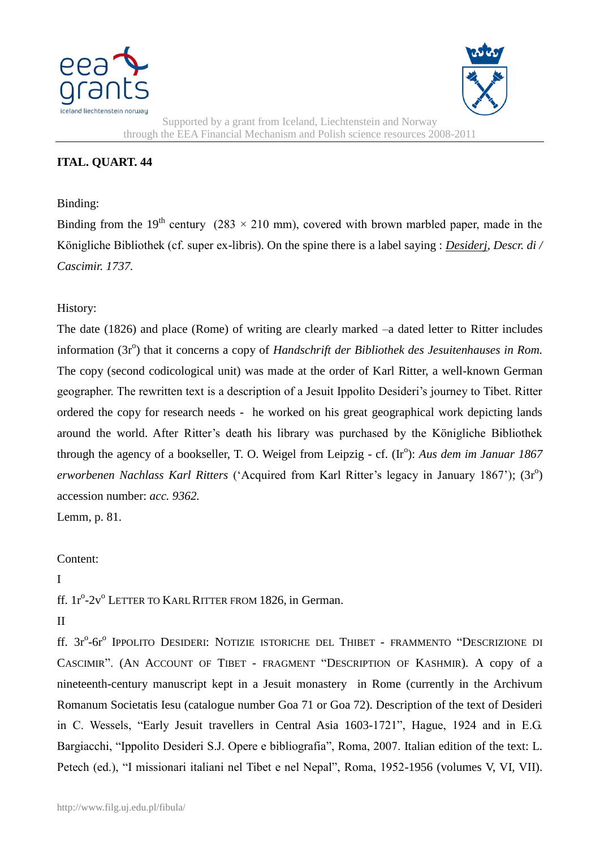



Supported by a grant from Iceland, Liechtenstein and Norway through the EEA Financial Mechanism and Polish science resources 2008-2011

# **ITAL. QUART. 44**

#### Binding:

Binding from the 19<sup>th</sup> century (283  $\times$  210 mm), covered with brown marbled paper, made in the Königliche Bibliothek (cf. super ex-libris). On the spine there is a label saying : *Desiderj, Descr. di / Cascimir. 1737.*

## History:

The date (1826) and place (Rome) of writing are clearly marked –a dated letter to Ritter includes information (3r<sup>o</sup>) that it concerns a copy of *Handschrift der Bibliothek des Jesuitenhauses in Rom.* The copy (second codicological unit) was made at the order of Karl Ritter, a well-known German geographer. The rewritten text is a description of a Jesuit Ippolito Desideri"s journey to Tibet. Ritter ordered the copy for research needs - he worked on his great geographical work depicting lands around the world. After Ritter"s death his library was purchased by the Königliche Bibliothek through the agency of a bookseller, T. O. Weigel from Leipzig - cf. (Ir<sup>o</sup>): Aus dem im Januar 1867 erworbenen Nachlass Karl Ritters ('Acquired from Karl Ritter's legacy in January 1867'); (3r<sup>o</sup>) accession number: *acc. 9362.* 

Lemm, p. 81.

## Content:

#### I

ff. 1r<sup>o</sup>-2v<sup>o</sup> LETTER TO KARL RITTER FROM 1826, in German.

## II

ff. 3r°-6r° Ippolito Desideri: Notizie istoriche del Thibet - frammento "Descrizione di CASCIMIR". (AN ACCOUNT OF TIBET - FRAGMENT "DESCRIPTION OF KASHMIR). A copy of a nineteenth-century manuscript kept in a Jesuit monastery in Rome (currently in the Archivum Romanum Societatis Iesu (catalogue number Goa 71 or Goa 72). Description of the text of Desideri in C. Wessels, "Early Jesuit travellers in Central Asia 1603-1721", Hague, 1924 and in E.G. Bargiacchi, "Ippolito Desideri S.J. Opere e bibliografia", Roma, 2007. Italian edition of the text: L. Petech (ed.), "I missionari italiani nel Tibet e nel Nepal", Roma, 1952-1956 (volumes V, VI, VII).